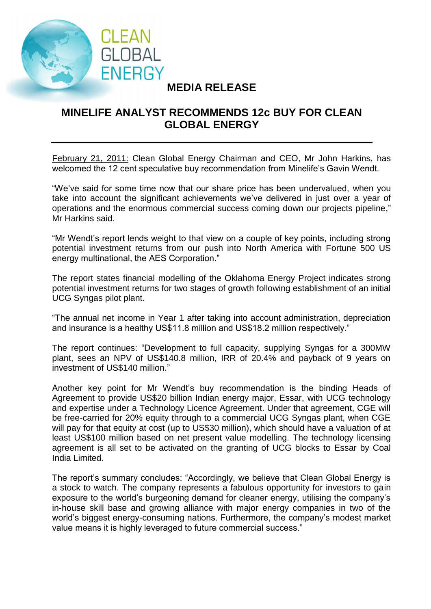

## **MEDIA RELEASE**

## **MINELIFE ANALYST RECOMMENDS 12c BUY FOR CLEAN GLOBAL ENERGY**

February 21, 2011: Clean Global Energy Chairman and CEO, Mr John Harkins, has welcomed the 12 cent speculative buy recommendation from Minelife's Gavin Wendt.

"We've said for some time now that our share price has been undervalued, when you take into account the significant achievements we've delivered in just over a year of operations and the enormous commercial success coming down our projects pipeline," Mr Harkins said.

"Mr Wendt's report lends weight to that view on a couple of key points, including strong potential investment returns from our push into North America with Fortune 500 US energy multinational, the AES Corporation."

The report states financial modelling of the Oklahoma Energy Project indicates strong potential investment returns for two stages of growth following establishment of an initial UCG Syngas pilot plant.

"The annual net income in Year 1 after taking into account administration, depreciation and insurance is a healthy US\$11.8 million and US\$18.2 million respectively."

The report continues: "Development to full capacity, supplying Syngas for a 300MW plant, sees an NPV of US\$140.8 million, IRR of 20.4% and payback of 9 years on investment of US\$140 million."

Another key point for Mr Wendt's buy recommendation is the binding Heads of Agreement to provide US\$20 billion Indian energy major, Essar, with UCG technology and expertise under a Technology Licence Agreement. Under that agreement, CGE will be free-carried for 20% equity through to a commercial UCG Syngas plant, when CGE will pay for that equity at cost (up to US\$30 million), which should have a valuation of at least US\$100 million based on net present value modelling. The technology licensing agreement is all set to be activated on the granting of UCG blocks to Essar by Coal India Limited.

The report's summary concludes: "Accordingly, we believe that Clean Global Energy is a stock to watch. The company represents a fabulous opportunity for investors to gain exposure to the world's burgeoning demand for cleaner energy, utilising the company's in-house skill base and growing alliance with major energy companies in two of the world's biggest energy-consuming nations. Furthermore, the company's modest market value means it is highly leveraged to future commercial success."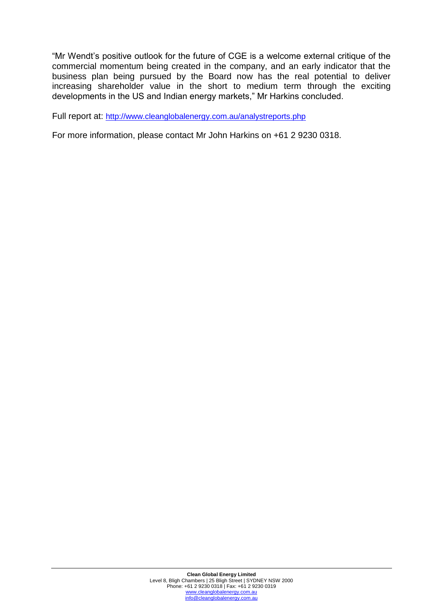"Mr Wendt's positive outlook for the future of CGE is a welcome external critique of the commercial momentum being created in the company, and an early indicator that the business plan being pursued by the Board now has the real potential to deliver increasing shareholder value in the short to medium term through the exciting developments in the US and Indian energy markets," Mr Harkins concluded.

Full report at: <http://www.cleanglobalenergy.com.au/analystreports.php>

For more information, please contact Mr John Harkins on +61 2 9230 0318.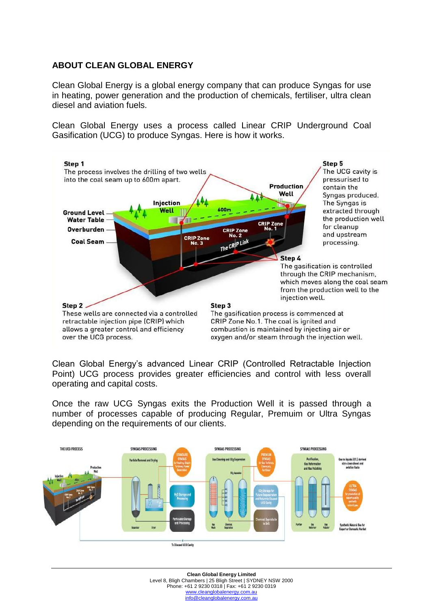## **ABOUT CLEAN GLOBAL ENERGY**

Clean Global Energy is a global energy company that can produce Syngas for use in heating, power generation and the production of chemicals, fertiliser, ultra clean diesel and aviation fuels.

Clean Global Energy uses a process called Linear CRIP Underground Coal Gasification (UCG) to produce Syngas. Here is how it works.



Clean Global Energy's advanced Linear CRIP (Controlled Retractable Injection Point) UCG process provides greater efficiencies and control with less overall operating and capital costs.

Once the raw UCG Syngas exits the Production Well it is passed through a number of processes capable of producing Regular, Premuim or Ultra Syngas depending on the requirements of our clients.